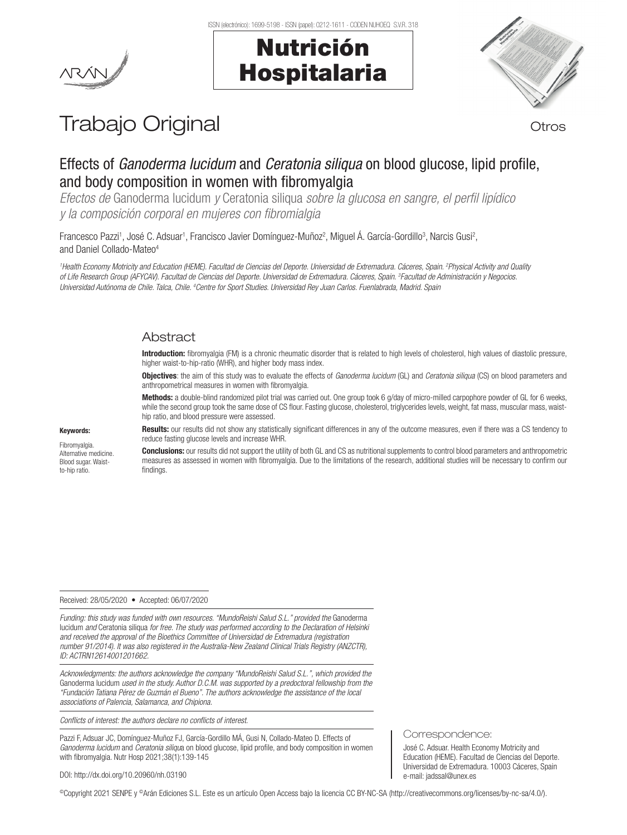# Nutrición Hospitalaria



# Trabajo Original **Trabajo Original**

# Effects of *Ganoderma lucidum* and *Ceratonia siliqua* on blood glucose, lipid profile, and body composition in women with fibromyalgia

*Efectos de* Ganoderma lucidum *y* Ceratonia siliqua *sobre la glucosa en sangre, el perfil lipídico y la composición corporal en mujeres con fibromialgia*

Francesco Pazzi<sup>1</sup>, José C. Adsuar<sup>1</sup>, Francisco Javier Domínguez-Muñoz<sup>2</sup>, Miguel Á. García-Gordillo<sup>3</sup>, Narcis Gusi<sup>2</sup>, and Daniel Collado-Mateo<sup>4</sup>

*1 Health Economy Motricity and Education (HEME). Facultad de Ciencias del Deporte. Universidad de Extremadura. Cáceres, Spain. 2 Physical Activity and Quality of Life Research Group (AFYCAV). Facultad de Ciencias del Deporte. Universidad de Extremadura. Cáceres, Spain. 3 Facultad de Administración y Negocios. Universidad Autónoma de Chile. Talca, Chile. 4 Centre for Sport Studies. Universidad Rey Juan Carlos. Fuenlabrada, Madrid. Spain*

# Abstract

Introduction: fibromyalgia (FM) is a chronic rheumatic disorder that is related to high levels of cholesterol, high values of diastolic pressure, higher waist-to-hip-ratio (WHR), and higher body mass index.

Objectives: the aim of this study was to evaluate the effects of *Ganoderma lucidum* (GL) and *Ceratonia siliqua* (CS) on blood parameters and anthropometrical measures in women with fibromyalgia.

Methods: a double-blind randomized pilot trial was carried out. One group took 6 g/day of micro-milled carpophore powder of GL for 6 weeks, while the second group took the same dose of CS flour. Fasting glucose, cholesterol, triglycerides levels, weight, fat mass, muscular mass, waisthip ratio, and blood pressure were assessed.

Results: our results did not show any statistically significant differences in any of the outcome measures, even if there was a CS tendency to reduce fasting glucose levels and increase WHR.

**Conclusions:** our results did not support the utility of both GL and CS as nutritional supplements to control blood parameters and anthropometric measures as assessed in women with fibromyalgia. Due to the limitations of the research, additional studies will be necessary to confirm our findings.

#### Received: 28/05/2020 • Accepted: 06/07/2020

*Funding: this study was funded with own resources. "MundoReishi Salud S.L." provided the* Ganoderma lucidum *and* Ceratonia siliqua *for free. The study was performed according to the Declaration of Helsinki and received the approval of the Bioethics Committee of Universidad de Extremadura (registration number 91/2014). It was also registered in the Australia-New Zealand Clinical Trials Registry (ANZCTR), ID: ACTRN12614001201662.*

*Acknowledgments: the authors acknowledge the company "MundoReishi Salud S.L.", which provided the*  Ganoderma lucidum *used in the study. Author D.C.M. was supported by a predoctoral fellowship from the "Fundación Tatiana Pérez de Guzmán el Bueno". The authors acknowledge the assistance of the local associations of Palencia, Salamanca, and Chipiona.*

*Conflicts of interest: the authors declare no conflicts of interest.*

Pazzi F, Adsuar JC, Domínguez-Muñoz FJ, García-Gordillo MÁ, Gusi N, Collado-Mateo D. Effects of *Ganoderma lucidum* and *Ceratonia siliqu*a on blood glucose, lipid profile, and body composition in women with fibromyalgia. Nutr Hosp 2021;38(1):139-145

#### Correspondence:

José C. Adsuar. Health Economy Motricity and Education (HEME). Facultad de Ciencias del Deporte. Universidad de Extremadura. 10003 Cáceres, Spain e-mail: jadssal@unex.es

DOI: http://dx.doi.org/10.20960/nh.03190

©Copyright 2021 SENPE y ©Arán Ediciones S.L. Este es un artículo Open Access bajo la licencia CC BY-NC-SA (http://creativecommons.org/licenses/by-nc-sa/4.0/).

Keywords:

Fibromyalgia. Alternative medicine. Blood sugar. Waistto-hip ratio.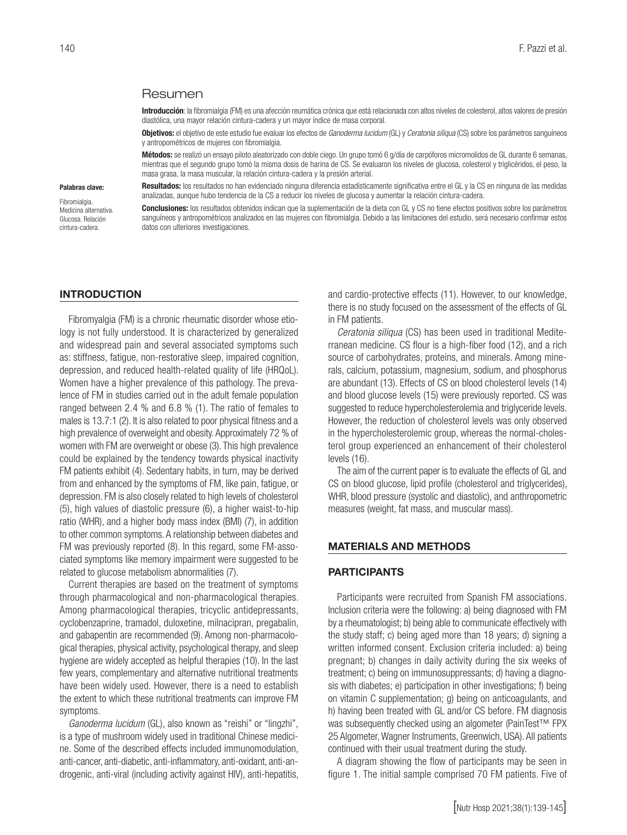### Resumen

Introducción: la fibromialgia (FM) es una afección reumática crónica que está relacionada con altos niveles de colesterol, altos valores de presión diastólica, una mayor relación cintura-cadera y un mayor índice de masa corporal.

Objetivos: el objetivo de este estudio fue evaluar los efectos de *Ganoderma lucidum* (GL) y *Ceratonia siliqua* (CS) sobre los parámetros sanguíneos y antropométricos de mujeres con fibromialgia.

Métodos: se realizó un ensayo piloto aleatorizado con doble ciego. Un grupo tomó 6 g/día de carpóforos micromolidos de GL durante 6 semanas, mientras que el segundo grupo tomó la misma dosis de harina de CS. Se evaluaron los niveles de glucosa, colesterol y triglicéridos, el peso, la masa grasa, la masa muscular, la relación cintura-cadera y la presión arterial.

Resultados: los resultados no han evidenciado ninguna diferencia estadísticamente significativa entre el GL y la CS en ninguna de las medidas analizadas, aunque hubo tendencia de la CS a reducir los niveles de glucosa y aumentar la relación cintura-cadera.

Conclusiones: los resultados obtenidos indican que la suplementación de la dieta con GL y CS no tiene efectos positivos sobre los parámetros sanguíneos y antropométricos analizados en las mujeres con fibromialgia. Debido a las limitaciones del estudio, será necesario confirmar estos datos con ulteriores investigaciones.

#### INTRODUCTION

Palabras clave: Fibromialgia. Medicina alternativa. Glucosa. Relación cintura-cadera.

Fibromyalgia (FM) is a chronic rheumatic disorder whose etiology is not fully understood. It is characterized by generalized and widespread pain and several associated symptoms such as: stiffness, fatigue, non-restorative sleep, impaired cognition, depression, and reduced health-related quality of life (HRQoL). Women have a higher prevalence of this pathology. The prevalence of FM in studies carried out in the adult female population ranged between 2.4 % and 6.8 % (1). The ratio of females to males is 13.7:1 (2). It is also related to poor physical fitness and a high prevalence of overweight and obesity. Approximately 72 % of women with FM are overweight or obese (3). This high prevalence could be explained by the tendency towards physical inactivity FM patients exhibit (4). Sedentary habits, in turn, may be derived from and enhanced by the symptoms of FM, like pain, fatigue, or depression. FM is also closely related to high levels of cholesterol (5), high values of diastolic pressure (6), a higher waist-to-hip ratio (WHR), and a higher body mass index (BMI) (7), in addition to other common symptoms. A relationship between diabetes and FM was previously reported (8). In this regard, some FM-associated symptoms like memory impairment were suggested to be related to glucose metabolism abnormalities (7).

Current therapies are based on the treatment of symptoms through pharmacological and non-pharmacological therapies. Among pharmacological therapies, tricyclic antidepressants, cyclobenzaprine, tramadol, duloxetine, milnacipran, pregabalin, and gabapentin are recommended (9). Among non-pharmacological therapies, physical activity, psychological therapy, and sleep hygiene are widely accepted as helpful therapies (10). In the last few years, complementary and alternative nutritional treatments have been widely used. However, there is a need to establish the extent to which these nutritional treatments can improve FM symptoms.

*Ganoderma lucidum* (GL), also known as "reishi" or "lingzhi", is a type of mushroom widely used in traditional Chinese medicine. Some of the described effects included immunomodulation, anti-cancer, anti-diabetic, anti-inflammatory, anti-oxidant, anti-androgenic, anti-viral (including activity against HIV), anti-hepatitis,

and cardio-protective effects (11). However, to our knowledge, there is no study focused on the assessment of the effects of GL in FM patients.

*Ceratonia siliqua* (CS) has been used in traditional Mediterranean medicine. CS flour is a high-fiber food (12), and a rich source of carbohydrates, proteins, and minerals. Among minerals, calcium, potassium, magnesium, sodium, and phosphorus are abundant (13). Effects of CS on blood cholesterol levels (14) and blood glucose levels (15) were previously reported. CS was suggested to reduce hypercholesterolemia and triglyceride levels. However, the reduction of cholesterol levels was only observed in the hypercholesterolemic group, whereas the normal-cholesterol group experienced an enhancement of their cholesterol levels (16).

The aim of the current paper is to evaluate the effects of GL and CS on blood glucose, lipid profile (cholesterol and triglycerides), WHR, blood pressure (systolic and diastolic), and anthropometric measures (weight, fat mass, and muscular mass).

#### MATERIALS AND METHODS

#### PARTICIPANTS

Participants were recruited from Spanish FM associations. Inclusion criteria were the following: a) being diagnosed with FM by a rheumatologist; b) being able to communicate effectively with the study staff; c) being aged more than 18 years; d) signing a written informed consent. Exclusion criteria included: a) being pregnant; b) changes in daily activity during the six weeks of treatment; c) being on immunosuppressants; d) having a diagnosis with diabetes; e) participation in other investigations; f) being on vitamin C supplementation; g) being on anticoagulants, and h) having been treated with GL and/or CS before. FM diagnosis was subsequently checked using an algometer (PainTest<sup>™</sup> FPX 25 Algometer, Wagner Instruments, Greenwich, USA). All patients continued with their usual treatment during the study.

A diagram showing the flow of participants may be seen in figure 1. The initial sample comprised 70 FM patients. Five of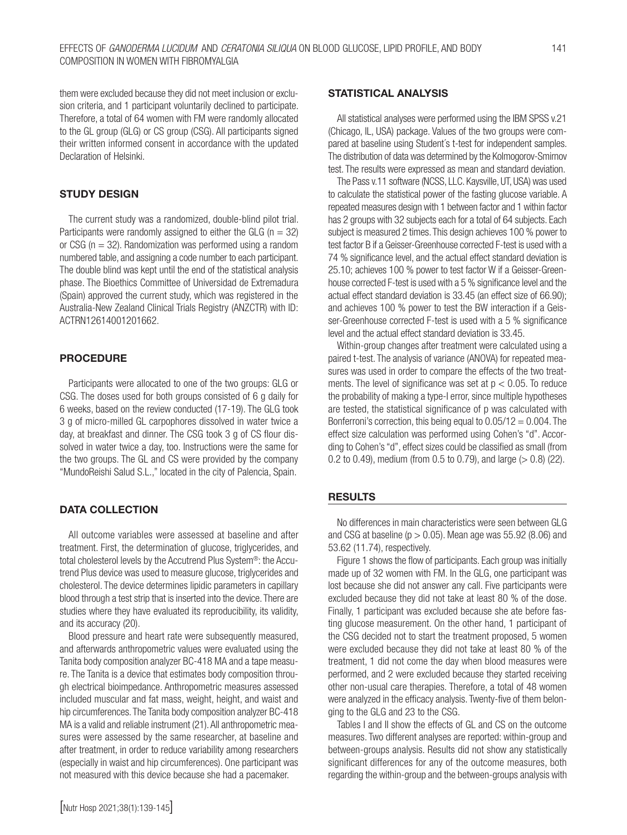them were excluded because they did not meet inclusion or exclusion criteria, and 1 participant voluntarily declined to participate. Therefore, a total of 64 women with FM were randomly allocated to the GL group (GLG) or CS group (CSG). All participants signed their written informed consent in accordance with the updated Declaration of Helsinki.

# STUDY DESIGN

The current study was a randomized, double-blind pilot trial. Participants were randomly assigned to either the GLG ( $n = 32$ ) or CSG ( $n = 32$ ). Randomization was performed using a random numbered table, and assigning a code number to each participant. The double blind was kept until the end of the statistical analysis phase. The Bioethics Committee of Universidad de Extremadura (Spain) approved the current study, which was registered in the Australia-New Zealand Clinical Trials Registry (ANZCTR) with ID: ACTRN12614001201662.

# **PROCEDURE**

Participants were allocated to one of the two groups: GLG or CSG. The doses used for both groups consisted of 6 g daily for 6 weeks, based on the review conducted (17-19). The GLG took 3 g of micro-milled GL carpophores dissolved in water twice a day, at breakfast and dinner. The CSG took 3 g of CS flour dissolved in water twice a day, too. Instructions were the same for the two groups. The GL and CS were provided by the company "MundoReishi Salud S.L.," located in the city of Palencia, Spain.

# DATA COLLECTION

All outcome variables were assessed at baseline and after treatment. First, the determination of glucose, triglycerides, and total cholesterol levels by the Accutrend Plus System®: the Accutrend Plus device was used to measure glucose, triglycerides and cholesterol. The device determines lipidic parameters in capillary blood through a test strip that is inserted into the device. There are studies where they have evaluated its reproducibility, its validity, and its accuracy (20).

Blood pressure and heart rate were subsequently measured, and afterwards anthropometric values were evaluated using the Tanita body composition analyzer BC-418 MA and a tape measure. The Tanita is a device that estimates body composition through electrical bioimpedance. Anthropometric measures assessed included muscular and fat mass, weight, height, and waist and hip circumferences. The Tanita body composition analyzer BC-418 MA is a valid and reliable instrument (21). All anthropometric measures were assessed by the same researcher, at baseline and after treatment, in order to reduce variability among researchers (especially in waist and hip circumferences). One participant was not measured with this device because she had a pacemaker.

# STATISTICAL ANALYSIS

All statistical analyses were performed using the IBM SPSS v.21 (Chicago, IL, USA) package. Values of the two groups were compared at baseline using Student´s t-test for independent samples. The distribution of data was determined by the Kolmogorov-Smirnov test. The results were expressed as mean and standard deviation.

The Pass v.11 software (NCSS, LLC. Kaysville, UT, USA) was used to calculate the statistical power of the fasting glucose variable. A repeated measures design with 1 between factor and 1 within factor has 2 groups with 32 subjects each for a total of 64 subjects. Each subject is measured 2 times. This design achieves 100 % power to test factor B if a Geisser-Greenhouse corrected F-test is used with a 74 % significance level, and the actual effect standard deviation is 25.10; achieves 100 % power to test factor W if a Geisser-Greenhouse corrected F-test is used with a 5 % significance level and the actual effect standard deviation is 33.45 (an effect size of 66.90); and achieves 100 % power to test the BW interaction if a Geisser-Greenhouse corrected F-test is used with a 5 % significance level and the actual effect standard deviation is 33.45.

Within-group changes after treatment were calculated using a paired t-test. The analysis of variance (ANOVA) for repeated measures was used in order to compare the effects of the two treatments. The level of significance was set at  $p < 0.05$ . To reduce the probability of making a type-I error, since multiple hypotheses are tested, the statistical significance of p was calculated with Bonferroni's correction, this being equal to  $0.05/12 = 0.004$ . The effect size calculation was performed using Cohen's "d". According to Cohen's "d", effect sizes could be classified as small (from 0.2 to 0.49), medium (from 0.5 to 0.79), and large  $(> 0.8)$  (22).

# RESULTS

No differences in main characteristics were seen between GLG and CSG at baseline ( $p > 0.05$ ). Mean age was 55.92 (8.06) and 53.62 (11.74), respectively.

Figure 1 shows the flow of participants. Each group was initially made up of 32 women with FM. In the GLG, one participant was lost because she did not answer any call. Five participants were excluded because they did not take at least 80 % of the dose. Finally, 1 participant was excluded because she ate before fasting glucose measurement. On the other hand, 1 participant of the CSG decided not to start the treatment proposed, 5 women were excluded because they did not take at least 80 % of the treatment, 1 did not come the day when blood measures were performed, and 2 were excluded because they started receiving other non-usual care therapies. Therefore, a total of 48 women were analyzed in the efficacy analysis. Twenty-five of them belonging to the GLG and 23 to the CSG.

Tables I and II show the effects of GL and CS on the outcome measures. Two different analyses are reported: within-group and between-groups analysis. Results did not show any statistically significant differences for any of the outcome measures, both regarding the within-group and the between-groups analysis with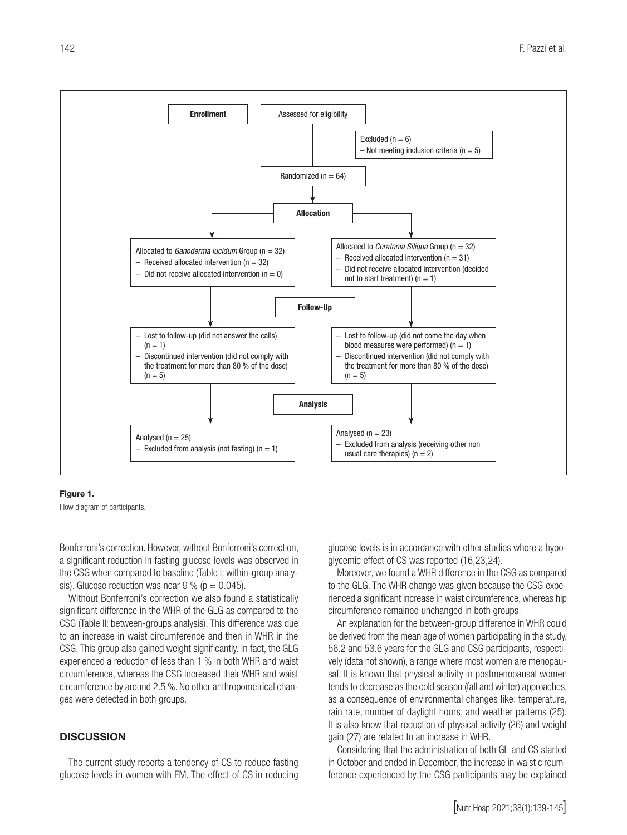

#### Figure 1.

Flow diagram of participants.

Bonferroni's correction. However, without Bonferroni's correction, a significant reduction in fasting glucose levels was observed in the CSG when compared to baseline (Table I: within-group analysis). Glucose reduction was near  $9\%$  ( $p = 0.045$ ).

Without Bonferroni's correction we also found a statistically significant difference in the WHR of the GLG as compared to the CSG (Table II: between-groups analysis). This difference was due to an increase in waist circumference and then in WHR in the CSG. This group also gained weight significantly. In fact, the GLG experienced a reduction of less than 1 % in both WHR and waist circumference, whereas the CSG increased their WHR and waist circumference by around 2.5 %. No other anthropometrical changes were detected in both groups.

#### **DISCUSSION**

The current study reports a tendency of CS to reduce fasting glucose levels in women with FM. The effect of CS in reducing glucose levels is in accordance with other studies where a hypoglycemic effect of CS was reported (16,23,24).

Moreover, we found a WHR difference in the CSG as compared to the GLG. The WHR change was given because the CSG experienced a significant increase in waist circumference, whereas hip circumference remained unchanged in both groups.

An explanation for the between-group difference in WHR could be derived from the mean age of women participating in the study, 56.2 and 53.6 years for the GLG and CSG participants, respectively (data not shown), a range where most women are menopausal. It is known that physical activity in postmenopausal women tends to decrease as the cold season (fall and winter) approaches, as a consequence of environmental changes like: temperature, rain rate, number of daylight hours, and weather patterns (25). It is also know that reduction of physical activity (26) and weight gain (27) are related to an increase in WHR.

Considering that the administration of both GL and CS started in October and ended in December, the increase in waist circumference experienced by the CSG participants may be explained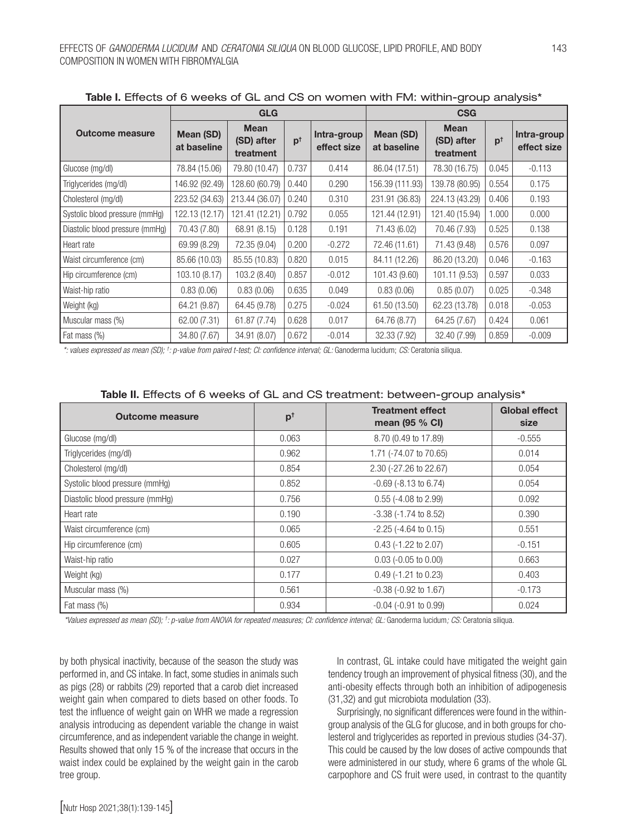|                                 |                          | <b>GLG</b>                             |                |                            |                          | <b>CSG</b>                             |                |                            |
|---------------------------------|--------------------------|----------------------------------------|----------------|----------------------------|--------------------------|----------------------------------------|----------------|----------------------------|
| <b>Outcome measure</b>          | Mean (SD)<br>at baseline | <b>Mean</b><br>(SD) after<br>treatment | p <sup>†</sup> | Intra-group<br>effect size | Mean (SD)<br>at baseline | <b>Mean</b><br>(SD) after<br>treatment | p <sup>†</sup> | Intra-group<br>effect size |
| Glucose (mg/dl)                 | 78.84 (15.06)            | 79.80 (10.47)                          | 0.737          | 0.414                      | 86.04 (17.51)            | 78.30 (16.75)                          | 0.045          | $-0.113$                   |
| Triglycerides (mg/dl)           | 146.92 (92.49)           | 128.60 (60.79)                         | 0.440          | 0.290                      | 156.39 (111.93)          | 139.78 (80.95)                         | 0.554          | 0.175                      |
| Cholesterol (mg/dl)             | 223.52 (34.63)           | 213.44 (36.07)                         | 0.240          | 0.310                      | 231.91 (36.83)           | 224.13 (43.29)                         | 0.406          | 0.193                      |
| Systolic blood pressure (mmHq)  | 122.13 (12.17)           | 121.41 (12.21)                         | 0.792          | 0.055                      | 121.44 (12.91)           | 121.40 (15.94)                         | 1.000          | 0.000                      |
| Diastolic blood pressure (mmHq) | 70.43 (7.80)             | 68.91 (8.15)                           | 0.128          | 0.191                      | 71.43 (6.02)             | 70.46 (7.93)                           | 0.525          | 0.138                      |
| Heart rate                      | 69.99 (8.29)             | 72.35 (9.04)                           | 0.200          | $-0.272$                   | 72.46 (11.61)            | 71.43 (9.48)                           | 0.576          | 0.097                      |
| Waist circumference (cm)        | 85.66 (10.03)            | 85.55 (10.83)                          | 0.820          | 0.015                      | 84.11 (12.26)            | 86.20 (13.20)                          | 0.046          | $-0.163$                   |
| Hip circumference (cm)          | 103.10 (8.17)            | 103.2 (8.40)                           | 0.857          | $-0.012$                   | 101.43 (9.60)            | 101.11 (9.53)                          | 0.597          | 0.033                      |
| Waist-hip ratio                 | 0.83(0.06)               | 0.83(0.06)                             | 0.635          | 0.049                      | 0.83(0.06)               | 0.85(0.07)                             | 0.025          | $-0.348$                   |
| Weight (kg)                     | 64.21 (9.87)             | 64.45 (9.78)                           | 0.275          | $-0.024$                   | 61.50 (13.50)            | 62.23 (13.78)                          | 0.018          | $-0.053$                   |
| Muscular mass (%)               | 62.00 (7.31)             | 61.87 (7.74)                           | 0.628          | 0.017                      | 64.76 (8.77)             | 64.25 (7.67)                           | 0.424          | 0.061                      |
| Fat mass (%)                    | 34.80 (7.67)             | 34.91 (8.07)                           | 0.672          | $-0.014$                   | 32.33 (7.92)             | 32.40 (7.99)                           | 0.859          | $-0.009$                   |

Table I. Effects of 6 weeks of GL and CS on women with FM: within-group analysis\*

*\*: values expressed as mean (SD); † : p-value from paired t-test; CI: confidence interval; GL:* Ganoderma lucidum; *CS:* Ceratonia siliqua.

| <b>Outcome measure</b>          | $p^{\dagger}$ | <b>Treatment effect</b><br>mean (95 % CI) | <b>Global effect</b><br>size |
|---------------------------------|---------------|-------------------------------------------|------------------------------|
| Glucose (mg/dl)                 | 0.063         | 8.70 (0.49 to 17.89)                      | $-0.555$                     |
| Triglycerides (mg/dl)           | 0.962         | 1.71 (-74.07 to 70.65)                    | 0.014                        |
| Cholesterol (mg/dl)             | 0.854         | 2.30 (-27.26 to 22.67)                    | 0.054                        |
| Systolic blood pressure (mmHg)  | 0.852         | $-0.69$ ( $-8.13$ to $6.74$ )             | 0.054                        |
| Diastolic blood pressure (mmHg) | 0.756         | $0.55$ (-4.08 to 2.99)                    | 0.092                        |
| Heart rate                      | 0.190         | $-3.38$ $(-1.74$ to 8.52)                 | 0.390                        |
| Waist circumference (cm)        | 0.065         | $-2.25$ ( $-4.64$ to 0.15)                | 0.551                        |
| Hip circumference (cm)          | 0.605         | $0.43$ (-1.22 to 2.07)                    | $-0.151$                     |
| Waist-hip ratio                 | 0.027         | $0.03$ (-0.05 to 0.00)                    | 0.663                        |
| Weight (kg)                     | 0.177         | $0.49$ (-1.21 to 0.23)                    | 0.403                        |
| Muscular mass (%)               | 0.561         | $-0.38$ $(-0.92$ to $1.67)$               | $-0.173$                     |
| Fat mass (%)                    | 0.934         | $-0.04$ ( $-0.91$ to $0.99$ )             | 0.024                        |

# Table II. Effects of 6 weeks of GL and CS treatment: between-group analysis\*

*\*Values expressed as mean (SD); † : p-value from ANOVA for repeated measures; CI: confidence interval; GL:* Ganoderma lucidum*; CS:* Ceratonia siliqua.

by both physical inactivity, because of the season the study was performed in, and CS intake. In fact, some studies in animals such as pigs (28) or rabbits (29) reported that a carob diet increased weight gain when compared to diets based on other foods. To test the influence of weight gain on WHR we made a regression analysis introducing as dependent variable the change in waist circumference, and as independent variable the change in weight. Results showed that only 15 % of the increase that occurs in the waist index could be explained by the weight gain in the carob tree group.

In contrast, GL intake could have mitigated the weight gain tendency trough an improvement of physical fitness (30), and the anti-obesity effects through both an inhibition of adipogenesis (31,32) and gut microbiota modulation (33).

Surprisingly, no significant differences were found in the withingroup analysis of the GLG for glucose, and in both groups for cholesterol and triglycerides as reported in previous studies (34-37). This could be caused by the low doses of active compounds that were administered in our study, where 6 grams of the whole GL carpophore and CS fruit were used, in contrast to the quantity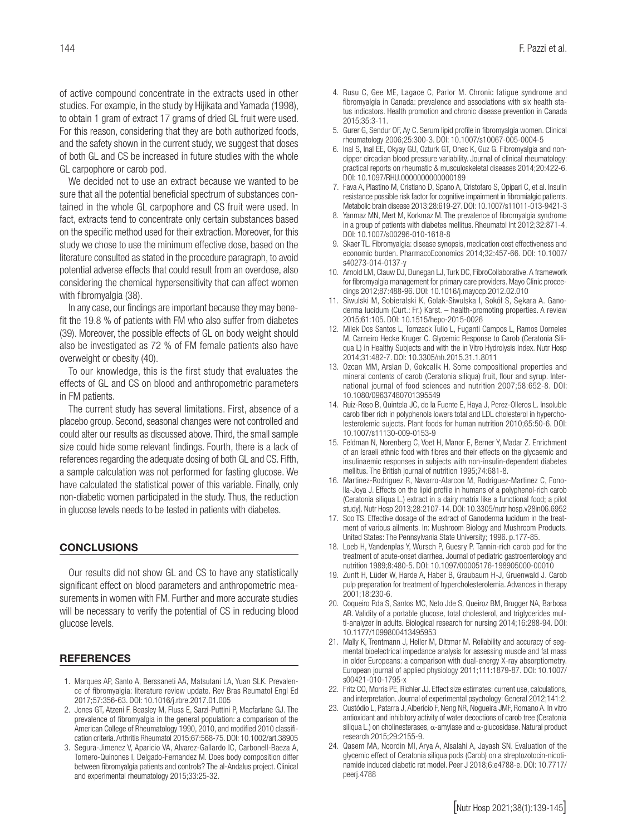of active compound concentrate in the extracts used in other studies. For example, in the study by Hijikata and Yamada (1998), to obtain 1 gram of extract 17 grams of dried GL fruit were used. For this reason, considering that they are both authorized foods, and the safety shown in the current study, we suggest that doses of both GL and CS be increased in future studies with the whole GL carpophore or carob pod.

We decided not to use an extract because we wanted to be sure that all the potential beneficial spectrum of substances contained in the whole GL carpophore and CS fruit were used. In fact, extracts tend to concentrate only certain substances based on the specific method used for their extraction. Moreover, for this study we chose to use the minimum effective dose, based on the literature consulted as stated in the procedure paragraph, to avoid potential adverse effects that could result from an overdose, also considering the chemical hypersensitivity that can affect women with fibromyalgia (38).

In any case, our findings are important because they may benefit the 19.8 % of patients with FM who also suffer from diabetes (39). Moreover, the possible effects of GL on body weight should also be investigated as 72 % of FM female patients also have overweight or obesity (40).

To our knowledge, this is the first study that evaluates the effects of GL and CS on blood and anthropometric parameters in FM patients.

The current study has several limitations. First, absence of a placebo group. Second, seasonal changes were not controlled and could alter our results as discussed above. Third, the small sample size could hide some relevant findings. Fourth, there is a lack of references regarding the adequate dosing of both GL and CS. Fifth, a sample calculation was not performed for fasting glucose. We have calculated the statistical power of this variable. Finally, only non-diabetic women participated in the study. Thus, the reduction in glucose levels needs to be tested in patients with diabetes.

#### **CONCLUSIONS**

Our results did not show GL and CS to have any statistically significant effect on blood parameters and anthropometric measurements in women with FM. Further and more accurate studies will be necessary to verify the potential of CS in reducing blood glucose levels.

#### REFERENCES

- 1. Marques AP, Santo A, Berssaneti AA, Matsutani LA, Yuan SLK. Prevalence of fibromyalgia: literature review update. Rev Bras Reumatol Engl Ed 2017;57:356-63. DOI: 10.1016/j.rbre.2017.01.005
- 2. Jones GT, Atzeni F, Beasley M, Fluss E, Sarzi-Puttini P, Macfarlane GJ. The prevalence of fibromyalgia in the general population: a comparison of the American College of Rheumatology 1990, 2010, and modified 2010 classification criteria. Arthritis Rheumatol 2015;67:568-75. DOI: 10.1002/art.38905
- 3. Segura-Jimenez V, Aparicio VA, Alvarez-Gallardo IC, Carbonell-Baeza A, Tornero-Quinones I, Delgado-Fernandez M. Does body composition differ between fibromyalgia patients and controls? The al-Andalus project. Clinical and experimental rheumatology 2015;33:25-32.
- 4. Rusu C, Gee ME, Lagace C, Parlor M. Chronic fatigue syndrome and fibromyalgia in Canada: prevalence and associations with six health status indicators. Health promotion and chronic disease prevention in Canada 2015;35:3-11.
- 5. Gurer G, Sendur OF, Ay C. Serum lipid profile in fibromyalgia women. Clinical rheumatology 2006;25:300-3. DOI: 10.1007/s10067-005-0004-5
- 6. Inal S, Inal EE, Okyay GU, Ozturk GT, Onec K, Guz G. Fibromyalgia and nondipper circadian blood pressure variability. Journal of clinical rheumatology: practical reports on rheumatic & musculoskeletal diseases 2014;20:422-6. DOI: 10.1097/RHU.0000000000000189
- 7. Fava A, Plastino M, Cristiano D, Spano A, Cristofaro S, Opipari C, et al. Insulin resistance possible risk factor for cognitive impairment in fibromialgic patients. Metabolic brain disease 2013;28:619-27. DOI: 10.1007/s11011-013-9421-3
- 8. Yanmaz MN, Mert M, Korkmaz M. The prevalence of fibromyalgia syndrome in a group of patients with diabetes mellitus. Rheumatol Int 2012;32:871-4. DOI: 10.1007/s00296-010-1618-8
- 9. Skaer TL. Fibromyalgia: disease synopsis, medication cost effectiveness and economic burden. PharmacoEconomics 2014;32:457-66. DOI: 10.1007/ s40273-014-0137-y
- 10. Arnold LM, Clauw DJ, Dunegan LJ, Turk DC, FibroCollaborative. A framework for fibromyalgia management for primary care providers. Mayo Clinic proceedings 2012;87:488-96. DOI: 10.1016/j.mayocp.2012.02.010
- 11. Siwulski M, Sobieralski K, Golak-Siwulska I, Sokół S, Sękara A. Ganoderma lucidum (Curt.: Fr.) Karst. – health-promoting properties. A review 2015;61:105. DOI: 10.1515/hepo-2015-0026
- 12. Milek Dos Santos L, Tomzack Tulio L, Fuganti Campos L, Ramos Dorneles M, Carneiro Hecke Kruger C. Glycemic Response to Carob (Ceratonia Siliqua L) in Healthy Subjects and with the in Vitro Hydrolysis Index. Nutr Hosp 2014;31:482-7. DOI: 10.3305/nh.2015.31.1.8011
- 13. Ozcan MM, Arslan D, Gokcalik H. Some compositional properties and mineral contents of carob (Ceratonia siliqua) fruit, flour and syrup. International journal of food sciences and nutrition 2007;58:652-8. DOI: 10.1080/09637480701395549
- 14. Ruiz-Roso B, Quintela JC, de la Fuente E, Haya J, Perez-Olleros L. Insoluble carob fiber rich in polyphenols lowers total and LDL cholesterol in hypercholesterolemic sujects. Plant foods for human nutrition 2010;65:50-6. DOI: 10.1007/s11130-009-0153-9
- 15. Feldman N, Norenberg C, Voet H, Manor E, Berner Y, Madar Z. Enrichment of an Israeli ethnic food with fibres and their effects on the glycaemic and insulinaemic responses in subjects with non-insulin-dependent diabetes mellitus. The British journal of nutrition 1995;74:681-8.
- 16. Martinez-Rodriguez R, Navarro-Alarcon M, Rodriguez-Martinez C, Fonolla-Joya J. Effects on the lipid profile in humans of a polyphenol-rich carob (Ceratonia siliqua L.) extract in a dairy matrix like a functional food; a pilot study]. Nutr Hosp 2013;28:2107-14. DOI: 10.3305/nutr hosp.v28in06.6952
- 17. Soo TS. Effective dosage of the extract of Ganoderma lucidum in the treatment of various ailments. In: Mushroom Biology and Mushroom Products. United States: The Pennsylvania State University; 1996. p.177-85.
- 18. Loeb H, Vandenplas Y, Wursch P, Guesry P. Tannin-rich carob pod for the treatment of acute-onset diarrhea. Journal of pediatric gastroenterology and nutrition 1989;8:480-5. DOI: 10.1097/00005176-198905000-00010
- 19. Zunft H, Lüder W, Harde A, Haber B, Graubaum H-J, Gruenwald J. Carob pulp preparation for treatment of hypercholesterolemia. Advances in therapy 2001;18:230-6.
- 20. Coqueiro Rda S, Santos MC, Neto Jde S, Queiroz BM, Brugger NA, Barbosa AR. Validity of a portable glucose, total cholesterol, and triglycerides multi-analyzer in adults. Biological research for nursing 2014;16:288-94. DOI: 10.1177/1099800413495953
- 21. Mally K, Trentmann J, Heller M, Dittmar M. Reliability and accuracy of segmental bioelectrical impedance analysis for assessing muscle and fat mass in older Europeans: a comparison with dual-energy X-ray absorptiometry. European journal of applied physiology 2011;111:1879-87. DOI: 10.1007/ s00421-010-1795-x
- 22. Fritz CO, Morris PE, Richler JJ. Effect size estimates: current use, calculations, and interpretation. Journal of experimental psychology: General 2012;141:2.
- 23. Custódio L, Patarra J, Alberício F, Neng NR, Nogueira JMF, Romano A. In vitro antioxidant and inhibitory activity of water decoctions of carob tree (Ceratonia siliqua L.) on cholinesterases,  $\alpha$ -amylase and  $\alpha$ -glucosidase. Natural product research 2015;29:2155-9.
- 24. Qasem MA, Noordin MI, Arya A, Alsalahi A, Jayash SN. Evaluation of the glycemic effect of Ceratonia siliqua pods (Carob) on a streptozotocin-nicotinamide induced diabetic rat model. Peer J 2018;6:e4788-e. DOI: 10.7717/ peerj.4788